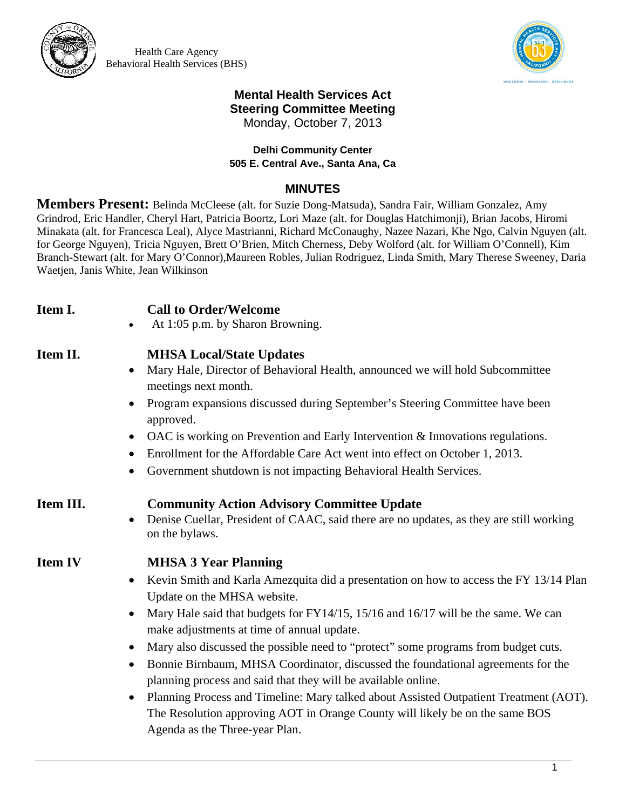

Health Care Agency Behavioral Health Services (BHS)



## **Mental Health Services Act Steering Committee Meeting**  Monday, October 7, 2013

## **Delhi Community Center 505 E. Central Ave., Santa Ana, Ca**

## **MINUTES**

**Members Present:** Belinda McCleese (alt. for Suzie Dong-Matsuda), Sandra Fair, William Gonzalez, Amy Grindrod, Eric Handler, Cheryl Hart, Patricia Boortz, Lori Maze (alt. for Douglas Hatchimonji), Brian Jacobs, Hiromi Minakata (alt. for Francesca Leal), Alyce Mastrianni, Richard McConaughy, Nazee Nazari, Khe Ngo, Calvin Nguyen (alt. for George Nguyen), Tricia Nguyen, Brett O'Brien, Mitch Cherness, Deby Wolford (alt. for William O'Connell), Kim Branch-Stewart (alt. for Mary O'Connor),Maureen Robles, Julian Rodriguez, Linda Smith, Mary Therese Sweeney, Daria Waetjen, Janis White, Jean Wilkinson

**Item I. Call to Order/Welcome**  At 1:05 p.m. by Sharon Browning. **Item II. MHSA Local/State Updates** Mary Hale, Director of Behavioral Health, announced we will hold Subcommittee meetings next month. • Program expansions discussed during September's Steering Committee have been approved. OAC is working on Prevention and Early Intervention & Innovations regulations. • Enrollment for the Affordable Care Act went into effect on October 1, 2013. Government shutdown is not impacting Behavioral Health Services. **Item III. Community Action Advisory Committee Update**  • Denise Cuellar, President of CAAC, said there are no updates, as they are still working on the bylaws. **Item IV MHSA 3 Year Planning**  • Kevin Smith and Karla Amezquita did a presentation on how to access the FY 13/14 Plan Update on the MHSA website. • Mary Hale said that budgets for  $FY14/15$ , 15/16 and 16/17 will be the same. We can make adjustments at time of annual update. Mary also discussed the possible need to "protect" some programs from budget cuts. Bonnie Birnbaum, MHSA Coordinator, discussed the foundational agreements for the planning process and said that they will be available online. Planning Process and Timeline: Mary talked about Assisted Outpatient Treatment (AOT).

The Resolution approving AOT in Orange County will likely be on the same BOS

Agenda as the Three-year Plan.